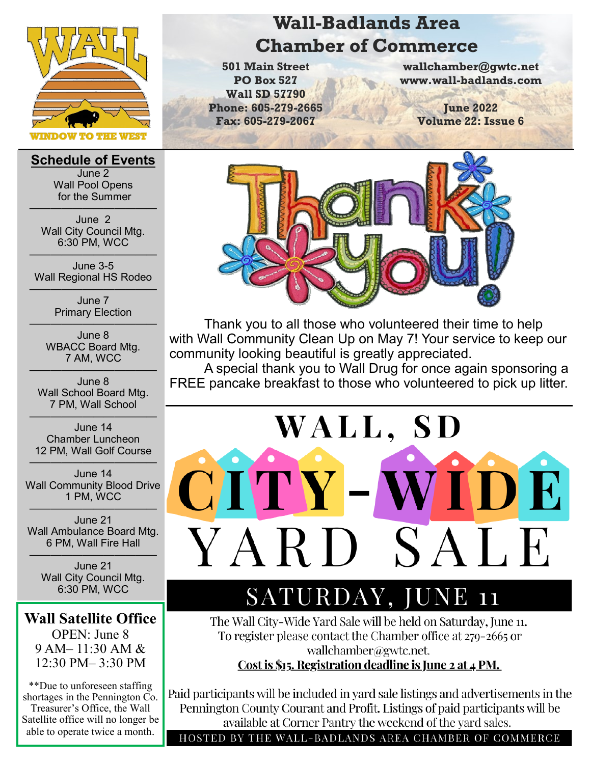

**Schedule of Events** June 2 Wall Pool Opens for the Summer

———————————— June 2 Wall City Council Mtg. 6:30 PM, WCC

———————————— June 3-5 Wall Regional HS Rodeo ————————————

June 7 Primary Election

———————————— June 8 WBACC Board Mtg. 7 AM, WCC

———————————— June 8 Wall School Board Mtg. 7 PM, Wall School

———————————— June 14 Chamber Luncheon 12 PM, Wall Golf Course

———————————— June 14 Wall Community Blood Drive 1 PM, WCC

———————————— June 21 Wall Ambulance Board Mtg. 6 PM, Wall Fire Hall

———————————— June 21 Wall City Council Mtg. 6:30 PM, WCC

### **Wall Satellite Office**

OPEN: June 8 9 AM– 11:30 AM & 12:30 PM– 3:30 PM

\*\*Due to unforeseen staffing shortages in the Pennington Co. Treasurer's Office, the Wall Satellite office will no longer be able to operate twice a month.

# **Wall-Badlands Area Chamber of Commerce**

**501 Main Street PO Box 527 Wall SD 57790 Phone: 605-279-2665 Fax: 605-279-2067**

**wallchamber@gwtc.net www.wall-badlands.com**

> **June 2022 Volume 22: Issue 6**



Thank you to all those who volunteered their time to help with Wall Community Clean Up on May 7! Your service to keep our community looking beautiful is greatly appreciated.

A special thank you to Wall Drug for once again sponsoring a FREE pancake breakfast to those who volunteered to pick up litter.



# SATURDAY, JUNE 11

The Wall City-Wide Yard Sale will be held on Saturday, June 11. To register please contact the Chamber office at 279-2665 or wallchamber@gwtc.net.

Cost is \$15. Registration deadline is June 2 at 4 PM.

Paid participants will be included in yard sale listings and advertisements in the Pennington County Courant and Profit. Listings of paid participants will be available at Corner Pantry the weekend of the yard sales.

HOSTED BY THE WALL-BADLANDS AREA CHAMBER OF COMMERCE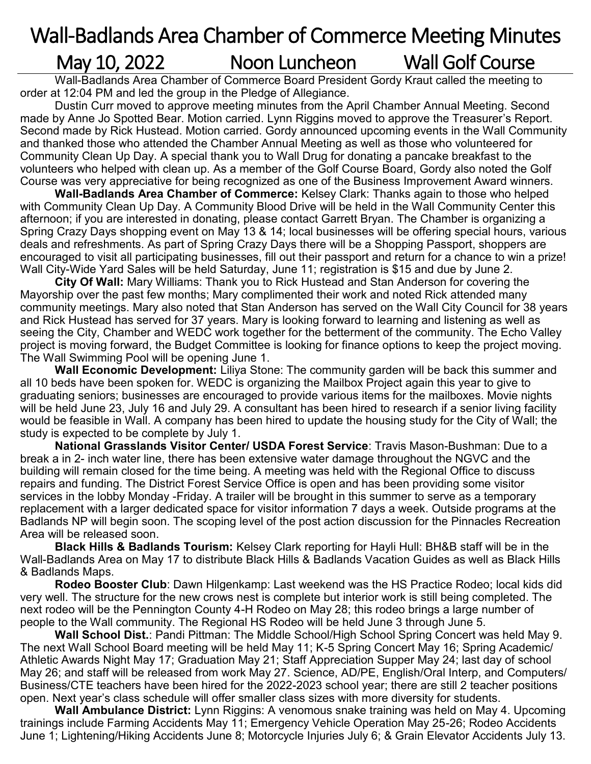# Wall-Badlands Area Chamber of Commerce Meeting Minutes May 10, 2022 Moon Luncheon Wall Golf Course

Wall-Badlands Area Chamber of Commerce Board President Gordy Kraut called the meeting to order at 12:04 PM and led the group in the Pledge of Allegiance.

Dustin Curr moved to approve meeting minutes from the April Chamber Annual Meeting. Second made by Anne Jo Spotted Bear. Motion carried. Lynn Riggins moved to approve the Treasurer's Report. Second made by Rick Hustead. Motion carried. Gordy announced upcoming events in the Wall Community and thanked those who attended the Chamber Annual Meeting as well as those who volunteered for Community Clean Up Day. A special thank you to Wall Drug for donating a pancake breakfast to the volunteers who helped with clean up. As a member of the Golf Course Board, Gordy also noted the Golf Course was very appreciative for being recognized as one of the Business Improvement Award winners.

**Wall-Badlands Area Chamber of Commerce:** Kelsey Clark: Thanks again to those who helped with Community Clean Up Day. A Community Blood Drive will be held in the Wall Community Center this afternoon; if you are interested in donating, please contact Garrett Bryan. The Chamber is organizing a Spring Crazy Days shopping event on May 13 & 14; local businesses will be offering special hours, various deals and refreshments. As part of Spring Crazy Days there will be a Shopping Passport, shoppers are encouraged to visit all participating businesses, fill out their passport and return for a chance to win a prize! Wall City-Wide Yard Sales will be held Saturday, June 11; registration is \$15 and due by June 2.

**City Of Wall:** Mary Williams: Thank you to Rick Hustead and Stan Anderson for covering the Mayorship over the past few months; Mary complimented their work and noted Rick attended many community meetings. Mary also noted that Stan Anderson has served on the Wall City Council for 38 years and Rick Hustead has served for 37 years. Mary is looking forward to learning and listening as well as seeing the City, Chamber and WEDC work together for the betterment of the community. The Echo Valley project is moving forward, the Budget Committee is looking for finance options to keep the project moving. The Wall Swimming Pool will be opening June 1.

**Wall Economic Development:** Liliya Stone: The community garden will be back this summer and all 10 beds have been spoken for. WEDC is organizing the Mailbox Project again this year to give to graduating seniors; businesses are encouraged to provide various items for the mailboxes. Movie nights will be held June 23, July 16 and July 29. A consultant has been hired to research if a senior living facility would be feasible in Wall. A company has been hired to update the housing study for the City of Wall; the study is expected to be complete by July 1.

**National Grasslands Visitor Center/ USDA Forest Service**: Travis Mason-Bushman: Due to a break a in 2- inch water line, there has been extensive water damage throughout the NGVC and the building will remain closed for the time being. A meeting was held with the Regional Office to discuss repairs and funding. The District Forest Service Office is open and has been providing some visitor services in the lobby Monday -Friday. A trailer will be brought in this summer to serve as a temporary replacement with a larger dedicated space for visitor information 7 days a week. Outside programs at the Badlands NP will begin soon. The scoping level of the post action discussion for the Pinnacles Recreation Area will be released soon.

**Black Hills & Badlands Tourism:** Kelsey Clark reporting for Hayli Hull: BH&B staff will be in the Wall-Badlands Area on May 17 to distribute Black Hills & Badlands Vacation Guides as well as Black Hills & Badlands Maps.

**Rodeo Booster Club**: Dawn Hilgenkamp: Last weekend was the HS Practice Rodeo; local kids did very well. The structure for the new crows nest is complete but interior work is still being completed. The next rodeo will be the Pennington County 4-H Rodeo on May 28; this rodeo brings a large number of people to the Wall community. The Regional HS Rodeo will be held June 3 through June 5.

**Wall School Dist.**: Pandi Pittman: The Middle School/High School Spring Concert was held May 9. The next Wall School Board meeting will be held May 11; K-5 Spring Concert May 16; Spring Academic/ Athletic Awards Night May 17; Graduation May 21; Staff Appreciation Supper May 24; last day of school May 26; and staff will be released from work May 27. Science, AD/PE, English/Oral Interp, and Computers/ Business/CTE teachers have been hired for the 2022-2023 school year; there are still 2 teacher positions open. Next year's class schedule will offer smaller class sizes with more diversity for students.

**Wall Ambulance District:** Lynn Riggins: A venomous snake training was held on May 4. Upcoming trainings include Farming Accidents May 11; Emergency Vehicle Operation May 25-26; Rodeo Accidents June 1; Lightening/Hiking Accidents June 8; Motorcycle Injuries July 6; & Grain Elevator Accidents July 13.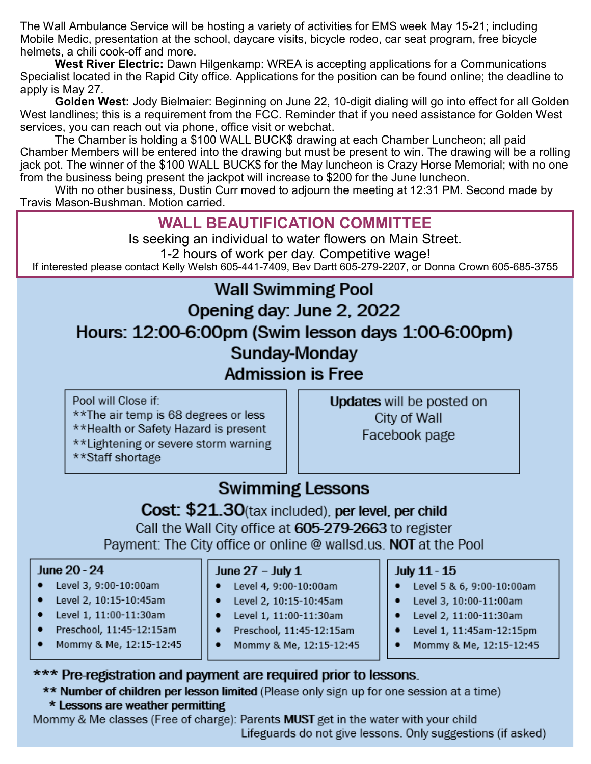The Wall Ambulance Service will be hosting a variety of activities for EMS week May 15-21; including Mobile Medic, presentation at the school, daycare visits, bicycle rodeo, car seat program, free bicycle helmets, a chili cook-off and more.

West River Electric: Dawn Hilgenkamp: WREA is accepting applications for a Communications Specialist located in the Rapid City office. Applications for the position can be found online; the deadline to apply is May 27.

Golden West: Jody Bielmaier: Beginning on June 22, 10-digit dialing will go into effect for all Golden West landlines; this is a requirement from the FCC. Reminder that if you need assistance for Golden West services, you can reach out via phone, office visit or webchat.

The Chamber is holding a \$100 WALL BUCK\$ drawing at each Chamber Luncheon; all paid Chamber Members will be entered into the drawing but must be present to win. The drawing will be a rolling jack pot. The winner of the \$100 WALL BUCK\$ for the May luncheon is Crazy Horse Memorial; with no one from the business being present the jackpot will increase to \$200 for the June luncheon.

With no other business. Dustin Curr moved to adjourn the meeting at 12:31 PM. Second made by Travis Mason-Bushman, Motion carried.

## **WALL BEAUTIFICATION COMMITTEE**

Is seeking an individual to water flowers on Main Street. 1-2 hours of work per day. Competitive wage! If interested please contact Kelly Welsh 605-441-7409, Bev Dartt 605-279-2207, or Donna Crown 605-685-3755

# **Wall Swimming Pool**

## Opening day: June 2, 2022

Hours: 12:00-6:00pm (Swim lesson days 1:00-6:00pm)

## Sunday-Monday

**Admission is Free** 

Pool will Close if: \*\*The air temp is 68 degrees or less \*\*Health or Safety Hazard is present \*\*Lightening or severe storm warning \*\*Staff shortage

**Updates will be posted on** City of Wall Facebook page

# **Swimming Lessons**

### Cost: \$21.30(tax included), per level, per child Call the Wall City office at 605-279-2663 to register Payment: The City office or online @ wallsd.us. NOT at the Pool

#### June 20 - 24

- ٠ Level 3, 9:00-10:00am
- Level 2, 10:15-10:45am
- Level 1, 11:00-11:30am
- Preschool, 11:45-12:15am
- Mommy & Me, 12:15-12:45

#### June 27 – July 1

- Level 4, 9:00-10:00am
- Level 2, 10:15-10:45am ٠
- Level 1, 11:00-11:30am
- ٠ Preschool, 11:45-12:15am
- Mommy & Me, 12:15-12:45

### July 11 - 15

- Level 5 & 6, 9:00-10:00am
- Level 3, 10:00-11:00am
- Level 2, 11:00-11:30am
- Level 1, 11:45am-12:15pm
- Mommy & Me, 12:15-12:45

### \*\*\* Pre-registration and payment are required prior to lessons.

\*\* Number of children per lesson limited (Please only sign up for one session at a time) \* Lessons are weather permitting

Mommy & Me classes (Free of charge): Parents **MUST** get in the water with your child Lifeguards do not give lessons. Only suggestions (if asked)